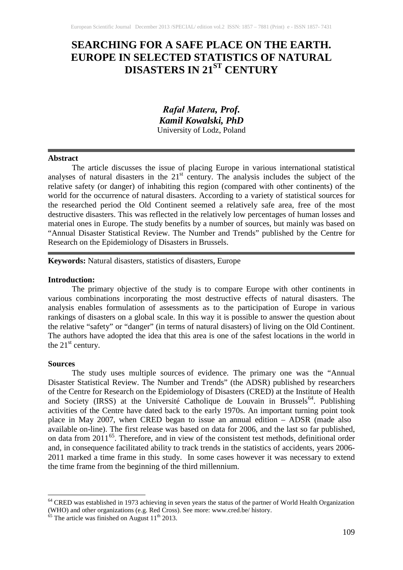# **SEARCHING FOR A SAFE PLACE ON THE EARTH. EUROPE IN SELECTED STATISTICS OF NATURAL DISASTERS IN 21ST CENTURY**

# *Rafał Matera, Prof. Kamil Kowalski, PhD* University of Lodz, Poland

#### **Abstract**

The article discusses the issue of placing Europe in various international statistical analyses of natural disasters in the  $21<sup>st</sup>$  century. The analysis includes the subject of the relative safety (or danger) of inhabiting this region (compared with other continents) of the world for the occurrence of natural disasters. According to a variety of statistical sources for the researched period the Old Continent seemed a relatively safe area, free of the most destructive disasters. This was reflected in the relatively low percentages of human losses and material ones in Europe. The study benefits by a number of sources, but mainly was based on "Annual Disaster Statistical Review. The Number and Trends" published by the Centre for Research on the Epidemiology of Disasters in Brussels.

### **Keywords:** Natural disasters, statistics of disasters, Europe

#### **Introduction:**

The primary objective of the study is to compare Europe with other continents in various combinations incorporating the most destructive effects of natural disasters. The analysis enables formulation of assessments as to the participation of Europe in various rankings of disasters on a global scale. In this way it is possible to answer the question about the relative "safety" or "danger" (in terms of natural disasters) of living on the Old Continent. The authors have adopted the idea that this area is one of the safest locations in the world in the  $21<sup>st</sup>$  century.

#### **Sources**

The study uses multiple sources of evidence. The primary one was the "Annual Disaster Statistical Review. The Number and Trends" (the ADSR) published by researchers of the Centre for Research on the Epidemiology of Disasters (CRED) at the Institute of Health and Society (IRSS) at the Université Catholique de Louvain in Brussels<sup>[64](#page-0-0)</sup>. Publishing activities of the Centre have dated back to the early 1970s. An important turning point took place in May 2007, when CRED began to issue an annual edition – ADSR (made also available on-line). The first release was based on data for 2006, and the last so far published, on data from 2011<sup>[65](#page-0-1)</sup>. Therefore, and in view of the consistent test methods, definitional order and, in consequence facilitated ability to track trends in the statistics of accidents, years 2006- 2011 marked a time frame in this study. In some cases however it was necessary to extend the time frame from the beginning of the third millennium.

<span id="page-0-0"></span><sup>&</sup>lt;sup>64</sup> CRED was established in 1973 achieving in seven years the status of the partner of World Health Organization (WHO) and other organizations (e.g. Red Cross). See more: www.cred.be/ history.  $^{65}$  The article was finished on August  $11^{th}$  2013.

<span id="page-0-1"></span>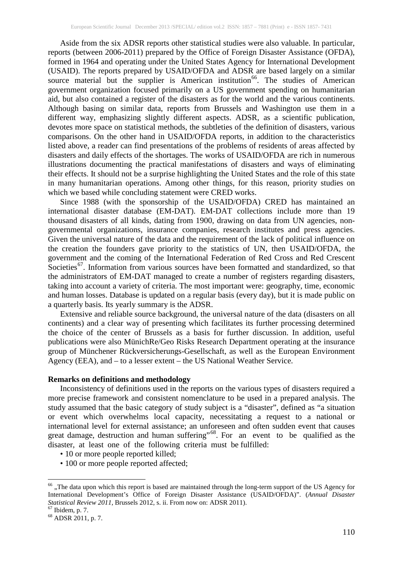Aside from the six ADSR reports other statistical studies were also valuable. In particular, reports (between 2006-2011) prepared by the Office of Foreign Disaster Assistance (OFDA), formed in 1964 and operating under the United States Agency for International Development (USAID). The reports prepared by USAID/OFDA and ADSR are based largely on a similar source material but the supplier is American institution<sup>[66](#page-1-0)</sup>. The studies of American government organization focused primarily on a US government spending on humanitarian aid, but also contained a register of the disasters as for the world and the various continents. Although basing on similar data, reports from Brussels and Washington use them in a different way, emphasizing slightly different aspects. ADSR, as a scientific publication, devotes more space on statistical methods, the subtleties of the definition of disasters, various comparisons. On the other hand in USAID/OFDA reports, in addition to the characteristics listed above, a reader can find presentations of the problems of residents of areas affected by disasters and daily effects of the shortages. The works of USAID/OFDA are rich in numerous illustrations documenting the practical manifestations of disasters and ways of eliminating their effects. It should not be a surprise highlighting the United States and the role of this state in many humanitarian operations. Among other things, for this reason, priority studies on which we based while concluding statement were CRED works.

Since 1988 (with the sponsorship of the USAID/OFDA) CRED has maintained an international disaster database (EM-DAT). EM-DAT collections include more than 19 thousand disasters of all kinds, dating from 1900, drawing on data from UN agencies, nongovernmental organizations, insurance companies, research institutes and press agencies. Given the universal nature of the data and the requirement of the lack of political influence on the creation the founders gave priority to the statistics of UN, then USAID/OFDA, the government and the coming of the International Federation of Red Cross and Red Crescent Societies<sup>[67](#page-1-1)</sup>. Information from various sources have been formatted and standardized, so that the administrators of EM-DAT managed to create a number of registers regarding disasters, taking into account a variety of criteria. The most important were: geography, time, economic and human losses. Database is updated on a regular basis (every day), but it is made public on a quarterly basis. Its yearly summary is the ADSR.

Extensive and reliable source background, the universal nature of the data (disasters on all continents) and a clear way of presenting which facilitates its further processing determined the choice of the center of Brussels as a basis for further discussion. In addition, useful publications were also MünichRe/Geo Risks Research Department operating at the insurance group of Münchener Rückversicherungs-Gesellschaft, as well as the European Environment Agency (EEA), and – to a lesser extent – the US National Weather Service.

#### **Remarks on definitions and methodology**

Inconsistency of definitions used in the reports on the various types of disasters required a more precise framework and consistent nomenclature to be used in a prepared analysis. The study assumed that the basic category of study subject is a "disaster", defined as "a situation or event which overwhelms local capacity, necessitating a request to a national or international level for external assistance; an unforeseen and often sudden event that causes great damage, destruction and human suffering"<sup>[68](#page-1-2)</sup>. For an event to be qualified as the disaster, at least one of the following criteria must be fulfilled:

- 10 or more people reported killed;
- 100 or more people reported affected;

<span id="page-1-0"></span><sup>&</sup>lt;sup>66</sup> "The data upon which this report is based are maintained through the long-term support of the US Agency for International Development's Office of Foreign Disaster Assistance (USAID/OFDA)". (*Annual Disaster Statistical Review 2011*, Brussels 2012, s. ii. From now on: ADSR 2011).<br><sup>67</sup> Ibidem, p. 7.<br><sup>68</sup> ADSR 2011, p. 7.

<span id="page-1-2"></span><span id="page-1-1"></span>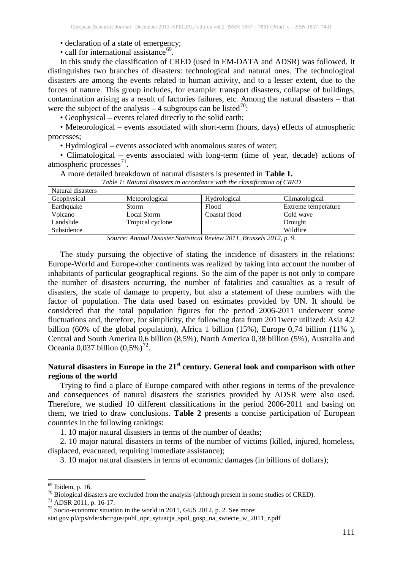- declaration of a state of emergency;
- call for international assistance<sup>[69](#page-2-0)</sup>.

In this study the classification of CRED (used in EM-DATA and ADSR) was followed. It distinguishes two branches of disasters: technological and natural ones. The technological disasters are among the events related to human activity, and to a lesser extent, due to the forces of nature. This group includes, for example: transport disasters, collapse of buildings, contamination arising as a result of factories failures, etc. Among the natural disasters – that were the subject of the analysis  $-4$  subgroups can be listed<sup>[70](#page-2-1)</sup>:

• Geophysical – events related directly to the solid earth;

• Meteorological – events associated with short-term (hours, days) effects of atmospheric processes;

• Hydrological – events associated with anomalous states of water;

• Climatological – events associated with long-term (time of year, decade) actions of atmospheric processes $^{71}$  $^{71}$  $^{71}$ .

#### A more detailed breakdown of natural disasters is presented in **Table 1.**

| Natural disasters |                  |               |                     |
|-------------------|------------------|---------------|---------------------|
| Geophysical       | Meteorological   | Hydrological  | Climatological      |
| Earthquake        | Storm            | Flood         | Extreme temperature |
| Volcano           | Local Storm      | Coastal flood | Cold wave           |
| Landslide         | Tropical cyclone |               | Drought             |
| Subsidence        |                  |               | Wildfire            |

*Table 1: Natural disasters in accordance with the classification of CRED*

*Source: Annual Disaster Statistical Review 2011, Brussels 2012, p. 9.*

The study pursuing the objective of stating the incidence of disasters in the relations: Europe-World and Europe-other continents was realized by taking into account the number of inhabitants of particular geographical regions. So the aim of the paper is not only to compare the number of disasters occurring, the number of fatalities and casualties as a result of disasters, the scale of damage to property, but also a statement of these numbers with the factor of population. The data used based on estimates provided by UN. It should be considered that the total population figures for the period 2006-2011 underwent some fluctuations and, therefore, for simplicity, the following data from 2011were utilized: Asia 4,2 billion (60% of the global population), Africa 1 billion (15%), Europe 0,74 billion (11% ), Central and South America 0,6 billion (8,5%), North America 0,38 billion (5%), Australia and Oceania 0,037 billion  $(0.5\%)^{72}$  $(0.5\%)^{72}$  $(0.5\%)^{72}$ .

# **Natural disasters in Europe in the 21st century. General look and comparison with other regions of the world**

Trying to find a place of Europe compared with other regions in terms of the prevalence and consequences of natural disasters the statistics provided by ADSR were also used. Therefore, we studied 10 different classifications in the period 2006-2011 and basing on them, we tried to draw conclusions. **Table 2** presents a concise participation of European countries in the following rankings:

1. 10 major natural disasters in terms of the number of deaths;

2. 10 major natural disasters in terms of the number of victims (killed, injured, homeless, displaced, evacuated, requiring immediate assistance);

3. 10 major natural disasters in terms of economic damages (in billions of dollars);

<span id="page-2-1"></span><span id="page-2-0"></span><sup>&</sup>lt;sup>69</sup> Ibidem, p. 16.<br><sup>70</sup> Biological disasters are excluded from the analysis (although present in some studies of CRED).<br><sup>71</sup> ADSR 2011, p. 16-17.<br><sup>72</sup> Socio-economic situation in the world in 2011, GUS 2012, p. 2. See mo

<span id="page-2-2"></span>

<span id="page-2-3"></span>

stat.gov.pl/cps/rde/xbcr/gus/publ\_opr\_sytuacja\_spol\_gosp\_na\_swiecie\_w\_2011\_r.pdf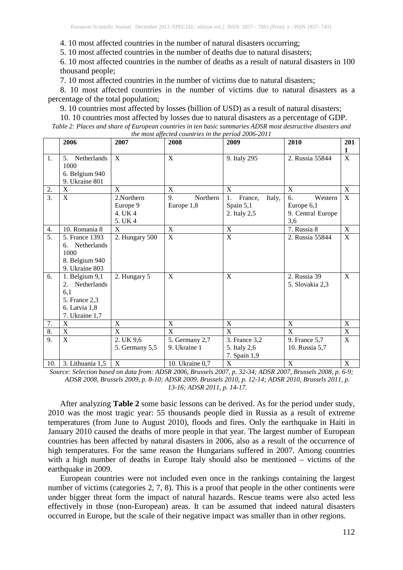4. 10 most affected countries in the number of natural disasters occurring;

5. 10 most affected countries in the number of deaths due to natural disasters;

6. 10 most affected countries in the number of deaths as a result of natural disasters in 100 thousand people;

7. 10 most affected countries in the number of victims due to natural disasters;

8. 10 most affected countries in the number of victims due to natural disasters as a percentage of the total population;

9. 10 countries most affected by losses (billion of USD) as a result of natural disasters;

10. 10 countries most affected by losses due to natural disasters as a percentage of GDP. *Table 2: Places and share of European countries in ten basic summaries ADSR most destructive disasters and the most affected countries in the period 2006-2011*

|                  | 2006                                                                                           | 2007                                         | the most affected countries in the period 2000-2011<br>2008 | 2009                                                 | 2010                                                    | 201            |  |
|------------------|------------------------------------------------------------------------------------------------|----------------------------------------------|-------------------------------------------------------------|------------------------------------------------------|---------------------------------------------------------|----------------|--|
|                  |                                                                                                |                                              |                                                             |                                                      |                                                         | 1              |  |
| 1.               | 5. Netherlands<br>1000<br>6. Belgium 940<br>9. Ukraine 801                                     | X                                            | X                                                           | 9. Italy 295                                         | 2. Russia 55844                                         | $\mathbf X$    |  |
| 2.               | X                                                                                              | X                                            | X                                                           | X                                                    | X                                                       | X              |  |
| $\overline{3}$ . | X                                                                                              | 2. Northern<br>Europe 9<br>4. UK 4<br>5. UK4 | 9.<br>Northern<br>Europe 1,8                                | Italy,<br>1.<br>France,<br>Spain 5,1<br>2. Italy 2,5 | 6.<br>Western<br>Europe 6,1<br>9. Central Europe<br>3,6 | $\overline{X}$ |  |
| 4.               | 10. Romania 8                                                                                  | X                                            | X                                                           | $\mathbf X$                                          | 7. Russia 8                                             | X              |  |
| $\overline{5}$ . | 5. France 1393<br>6. Netherlands<br>1000<br>8. Belgium 940<br>9. Ukraine 803                   | 2. Hungary 500                               | $\mathbf X$                                                 | $\overline{\mathbf{X}}$                              | 2. Russia 55844                                         | $\overline{X}$ |  |
| 6.               | 1. Belgium 9,1<br>Netherlands<br>2.<br>6,1<br>5. France 2,3<br>6. Latvia 1,8<br>7. Ukraine 1,7 | 2. Hungary 5                                 | X                                                           | $\boldsymbol{\mathrm{X}}$                            | 2. Russia 39<br>5. Slovakia 2,3                         | X              |  |
| 7.               | X                                                                                              | $\mathbf X$                                  | $\mathbf X$                                                 | $\boldsymbol{\mathrm{X}}$                            | $\mathbf X$                                             | $\mathbf X$    |  |
| 8.               | X                                                                                              | X                                            | X                                                           | X                                                    | X                                                       | $\mathbf X$    |  |
| 9.               | X                                                                                              | 2. UK 9,6<br>5. Germany 5,5                  | 5. Germany 2,7<br>9. Ukraine 1                              | 3. France 3,2<br>5. Italy 2,6<br>7. Spain 1,9        | 9. France 5,7<br>10. Russia 5,7                         | $\overline{X}$ |  |
| 10.              | 3. Lithuania 1,5                                                                               | X                                            | 10. Ukraine 0,7                                             | $\boldsymbol{\mathrm{X}}$                            | X                                                       | X              |  |

*Source: Selection based on data from: ADSR 2006, Brussels 2007, p. 32-34; ADSR 2007, Brussels 2008, p. 6-9; ADSR 2008, Brussels 2009, p. 8-10; ADSR 2009, Brussels 2010, p. 12-14; ADSR 2010, Brussels 2011, p. 13-16; ADSR 2011, p. 14-17.*

After analyzing **Table 2** some basic lessons can be derived. As for the period under study, 2010 was the most tragic year: 55 thousands people died in Russia as a result of extreme temperatures (from June to August 2010), floods and fires. Only the earthquake in Haiti in January 2010 caused the deaths of more people in that year. The largest number of European countries has been affected by natural disasters in 2006, also as a result of the occurrence of high temperatures. For the same reason the Hungarians suffered in 2007. Among countries with a high number of deaths in Europe Italy should also be mentioned – victims of the earthquake in 2009.

European countries were not included even once in the rankings containing the largest number of victims (categories 2, 7, 8). This is a proof that people in the other continents were under bigger threat form the impact of natural hazards. Rescue teams were also acted less effectively in those (non-European) areas. It can be assumed that indeed natural disasters occurred in Europe, but the scale of their negative impact was smaller than in other regions.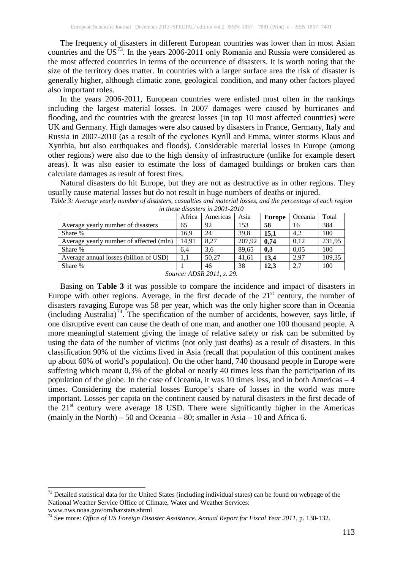The frequency of disasters in different European countries was lower than in most Asian countries and the US<sup>[73](#page-4-0)</sup>. In the years 2006-2011 only Romania and Russia were considered as the most affected countries in terms of the occurrence of disasters. It is worth noting that the size of the territory does matter. In countries with a larger surface area the risk of disaster is generally higher, although climatic zone, geological condition, and many other factors played also important roles.

In the years 2006-2011, European countries were enlisted most often in the rankings including the largest material losses. In 2007 damages were caused by hurricanes and flooding, and the countries with the greatest losses (in top 10 most affected countries) were UK and Germany. High damages were also caused by disasters in France, Germany, Italy and Russia in 2007-2010 (as a result of the cyclones Kyrill and Emma, winter storms Klaus and Xynthia, but also earthquakes and floods). Considerable material losses in Europe (among other regions) were also due to the high density of infrastructure (unlike for example desert areas). It was also easier to estimate the loss of damaged buildings or broken cars than calculate damages as result of forest fires.

Natural disasters do hit Europe, but they are not as destructive as in other regions. They usually cause material losses but do not result in huge numbers of deaths or injured.

| <i>in mese aisasiers in 2001-2010</i>   |        |          |        |        |         |        |  |
|-----------------------------------------|--------|----------|--------|--------|---------|--------|--|
|                                         | Africa | Americas | Asia   | Europe | Oceania | Total  |  |
| Average yearly number of disasters      | 65     | 92       | 153    | 58     | 16      | 384    |  |
| Share %                                 | 16.9   | 24       | 39.8   | 15.1   | 4.2     | 100    |  |
| Average yearly number of affected (mln) | 14.91  | 8.27     | 207.92 | 0.74   | 0.12    | 231,95 |  |
| Share %                                 | 6.4    | 3.6      | 89.65  | 0,3    | 0.05    | 100    |  |
| Average annual losses (billion of USD)  | 1.1    | 50.27    | 41.61  | 13.4   | 2.97    | 109,35 |  |
| Share %                                 |        | 46       | 38     | 12.3   | 2,7     | 100    |  |
| $\sim$ $\sim$<br>$\sim$<br>1.7.07.0011  |        |          |        |        |         |        |  |

*Table 3: Average yearly number of disasters, casualties and material losses, and the percentage of each region in these disasters in 2001-2010*

*Source: ADSR 2011, s. 29.*

Basing on **Table 3** it was possible to compare the incidence and impact of disasters in Europe with other regions. Average, in the first decade of the  $21<sup>st</sup>$  century, the number of disasters ravaging Europe was 58 per year, which was the only higher score than in Oceania (including Australia) [74](#page-4-1) . The specification of the number of accidents, however, says little, if one disruptive event can cause the death of one man, and another one 100 thousand people. A more meaningful statement giving the image of relative safety or risk can be submitted by using the data of the number of victims (not only just deaths) as a result of disasters. In this classification 90% of the victims lived in Asia (recall that population of this continent makes up about 60% of world's population). On the other hand, 740 thousand people in Europe were suffering which meant 0,3% of the global or nearly 40 times less than the participation of its population of the globe. In the case of Oceania, it was 10 times less, and in both Americas – 4 times. Considering the material losses Europe's share of losses in the world was more important. Losses per capita on the continent caused by natural disasters in the first decade of the  $21<sup>st</sup>$  century were average 18 USD. There were significantly higher in the Americas (mainly in the North) – 50 and Oceania – 80; smaller in Asia – 10 and Africa 6.

<span id="page-4-0"></span><sup>&</sup>lt;sup>73</sup> Detailed statistical data for the United States (including individual states) can be found on webpage of the National Weather Service Office of Climate, Water and Weather Services:<br>www.nws.noaa.gov/om/hazstats.shtml

<span id="page-4-1"></span><sup>&</sup>lt;sup>74</sup> See more: *Office of US Foreign Disaster Assistance. Annual Report for Fiscal Year 2011*, p. 130-132.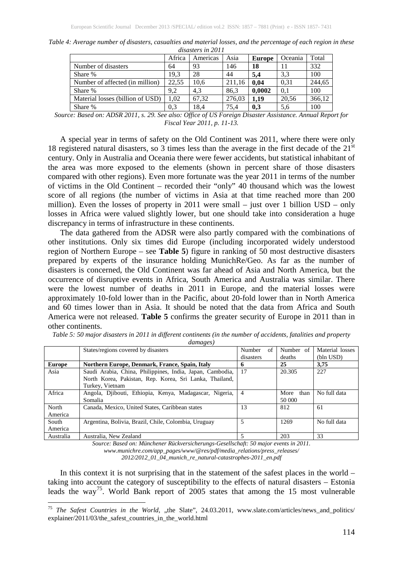| atsasters in 2011                |        |          |        |        |         |        |
|----------------------------------|--------|----------|--------|--------|---------|--------|
|                                  | Africa | Americas | Asia   | Europe | Oceania | Total  |
| Number of disasters              | 64     | 93       | 146    | 18     |         | 332    |
| Share %                          | 19.3   | 28       | 44     | 5.4    | 3.3     | 100    |
| Number of affected (in million)  | 22.55  | 10.6     | 211.16 | 0.04   | 0.31    | 244,65 |
| Share %                          | 9,2    | 4.3      | 86.3   | 0.0002 | 0.1     | 100    |
| Material losses (billion of USD) | 1.02   | 67.32    | 276.03 | 1.19   | 20.56   | 366,12 |
| Share %                          | 0.3    | 18,4     | 75.4   | 0.3    | 5,6     | 100    |

*Table 4: Average number of disasters, casualties and material losses, and the percentage of each region in these disasters in 2011*

*Source: Based on: ADSR 2011, s. 29. See also: Office of US Foreign Disaster Assistance. Annual Report for Fiscal Year 2011, p. 11-13.*

A special year in terms of safety on the Old Continent was 2011, where there were only 18 registered natural disasters, so 3 times less than the average in the first decade of the  $21<sup>st</sup>$ century. Only in Australia and Oceania there were fewer accidents, but statistical inhabitant of the area was more exposed to the elements (shown in percent share of those disasters compared with other regions). Even more fortunate was the year 2011 in terms of the number of victims in the Old Continent – recorded their "only" 40 thousand which was the lowest score of all regions (the number of victims in Asia at that time reached more than 200 million). Even the losses of property in 2011 were small – just over 1 billion USD – only losses in Africa were valued slightly lower, but one should take into consideration a huge discrepancy in terms of infrastructure in these continents.

The data gathered from the ADSR were also partly compared with the combinations of other institutions. Only six times did Europe (including incorporated widely understood region of Northern Europe – see **Table 5**) figure in ranking of 50 most destructive disasters prepared by experts of the insurance holding MunichRe/Geo. As far as the number of disasters is concerned, the Old Continent was far ahead of Asia and North America, but the occurrence of disruptive events in Africa, South America and Australia was similar. There were the lowest number of deaths in 2011 in Europe, and the material losses were approximately 10-fold lower than in the Pacific, about 20-fold lower than in North America and 60 times lower than in Asia. It should be noted that the data from Africa and South America were not released. **Table 5** confirms the greater security of Europe in 2011 than in other continents.

|               | States/regions covered by disasters                       | of<br>Number | Number of    | Material losses |
|---------------|-----------------------------------------------------------|--------------|--------------|-----------------|
|               |                                                           | disasters    | deaths       | (bln USD)       |
| <b>Europe</b> | Northern Europe, Denmark, France, Spain, Italy            | n            | 25           | 3.75            |
| Asia          | Saudi Arabia, China, Philippines, India, Japan, Cambodia, | 17           | 20.305       | 227             |
|               | North Korea, Pakistan, Rep. Korea, Sri Lanka, Thailand,   |              |              |                 |
|               | Turkey, Vietnam                                           |              |              |                 |
| Africa        | Angola, Djibouti, Ethiopia, Kenya, Madagascar, Nigeria,   | 4            | More<br>than | No full data    |
|               | Somalia                                                   |              | 50 000       |                 |
| North         | Canada, Mexico, United States, Caribbean states           | 13           | 812          | 61              |
| America       |                                                           |              |              |                 |
| South         | Argentina, Bolivia, Brazil, Chile, Colombia, Uruguay      | 5            | 1269         | No full data    |
| America       |                                                           |              |              |                 |
| Australia     | Australia, New Zealand                                    |              | 203          | 33              |

*Table 5: 50 major disasters in 2011 in different continents (in the number of accidents, fatalities and property damages)*

*Source: Based on: Münchener Rückversicherungs-Gesellschaft: 50 major events in 2011.*

*www.munichre.com/app\_pages/www/@res/pdf/media\_relations/press\_releases/ 2012/2012\_01\_04\_munich\_re\_natural-catastrophes-2011\_en.pdf*

In this context it is not surprising that in the statement of the safest places in the world – taking into account the category of susceptibility to the effects of natural disasters – Estonia leads the way<sup>[75](#page-5-0)</sup>. World Bank report of 2005 states that among the 15 most vulnerable

<span id="page-5-0"></span><sup>&</sup>lt;sup>75</sup> *The Safest Countries in the World*, "the Slate", 24.03.2011, www.slate.com/articles/news\_and\_politics/ explainer/2011/03/the\_safest\_countries\_in\_the\_world.html